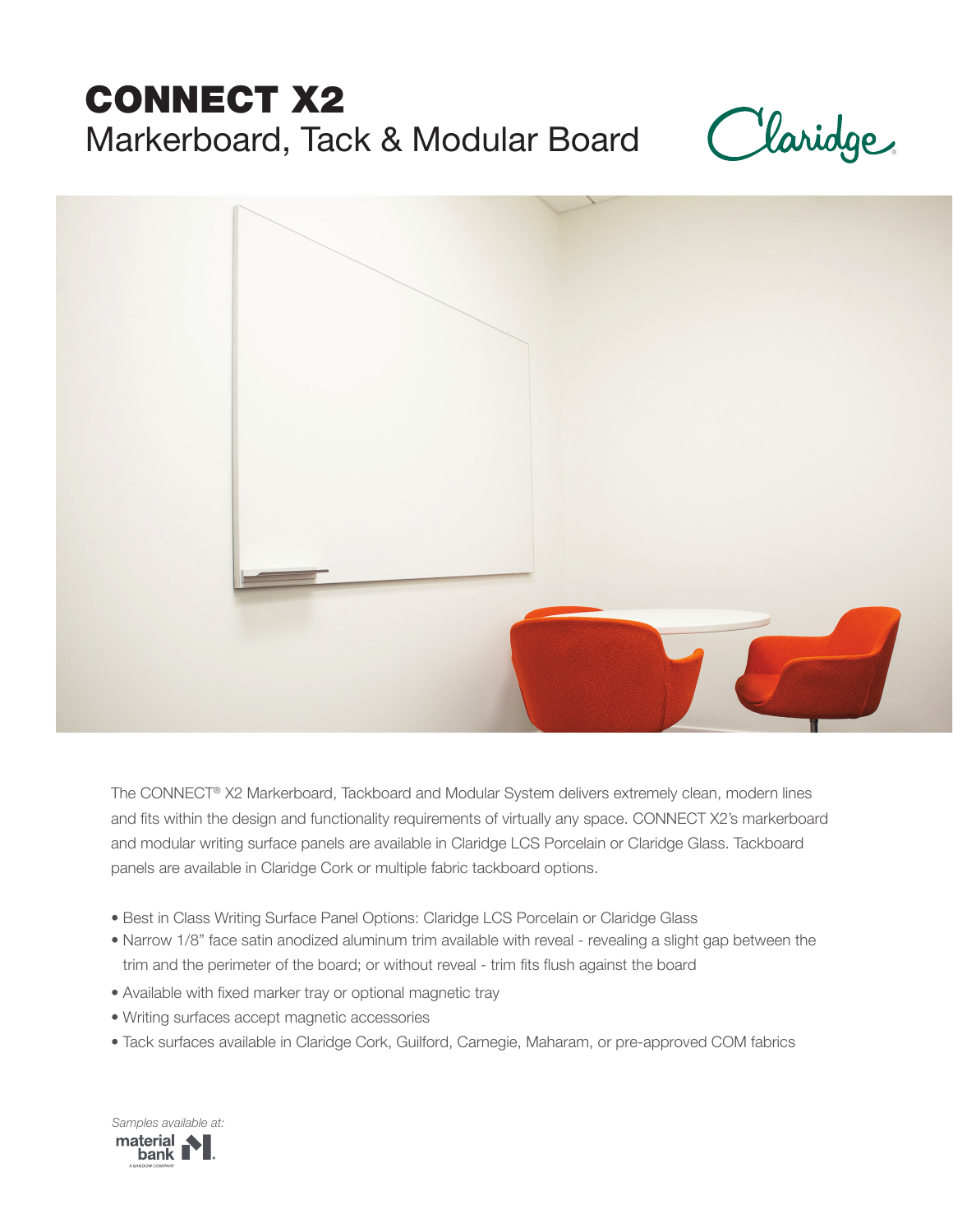# CONNECT X2 Markerboard, Tack & Modular Board





The CONNECT® X2 Markerboard, Tackboard and Modular System delivers extremely clean, modern lines and fits within the design and functionality requirements of virtually any space. CONNECT X2's markerboard and modular writing surface panels are available in Claridge LCS Porcelain or Claridge Glass. Tackboard panels are available in Claridge Cork or multiple fabric tackboard options.

- Best in Class Writing Surface Panel Options: Claridge LCS Porcelain or Claridge Glass
- Narrow 1/8" face satin anodized aluminum trim available with reveal revealing a slight gap between the trim and the perimeter of the board; or without reveal - trim fits flush against the board
- Available with fixed marker tray or optional magnetic tray
- Writing surfaces accept magnetic accessories
- Tack surfaces available in Claridge Cork, Guilford, Carnegie, Maharam, or pre-approved COM fabrics